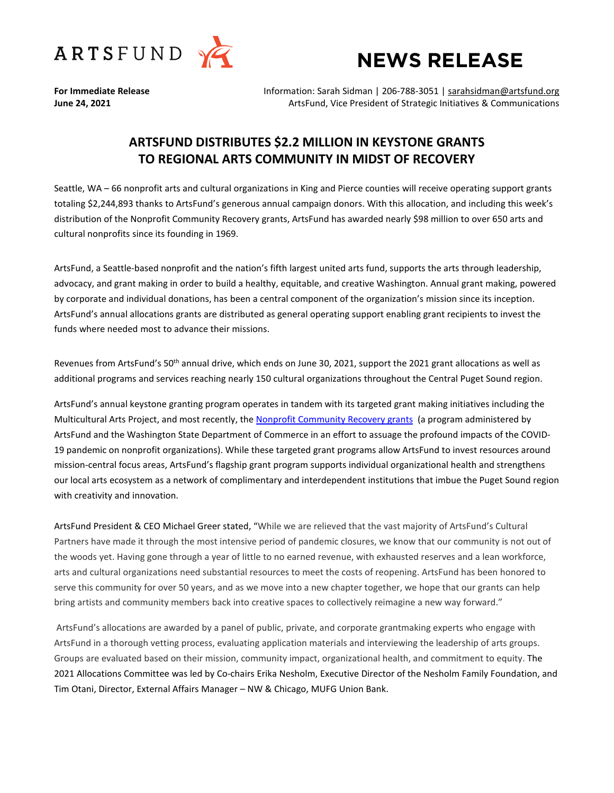

# **NEWS RELEASE**

**For Immediate Release** Information: Sarah Sidman | 206-788-3051 | [sarahsidman@artsfund.org](mailto:sarahsidman@artsfund.org) **June 24, 2021 ArtsFund, Vice President of Strategic Initiatives & Communications ArtsFund, Vice President of Strategic Initiatives & Communications** 

# **ARTSFUND DISTRIBUTES \$2.2 MILLION IN KEYSTONE GRANTS TO REGIONAL ARTS COMMUNITY IN MIDST OF RECOVERY**

Seattle, WA – 66 nonprofit arts and cultural organizations in King and Pierce counties will receive operating support grants totaling \$2,244,893 thanks to ArtsFund's generous annual campaign donors. With this allocation, and including this week's distribution of the Nonprofit Community Recovery grants, ArtsFund has awarded nearly \$98 million to over 650 arts and cultural nonprofits since its founding in 1969.

ArtsFund, a Seattle-based nonprofit and the nation's fifth largest united arts fund, supports the arts through leadership, advocacy, and grant making in order to build a healthy, equitable, and creative Washington. Annual grant making, powered by corporate and individual donations, has been a central component of the organization's mission since its inception. ArtsFund's annual allocations grants are distributed as general operating support enabling grant recipients to invest the funds where needed most to advance their missions.

Revenues from ArtsFund's 50<sup>th</sup> annual drive, which ends on June 30, 2021, support the 2021 grant allocations as well as additional programs and services reaching nearly 150 cultural organizations throughout the Central Puget Sound region.

ArtsFund's annual keystone granting program operates in tandem with its targeted grant making initiatives including the Multicultural Arts Project, and most recently, th[e Nonprofit Community Recovery grants](https://www.artsfund.org/commerce-and-artsfund-award-nearly-11-million-in-pandemic-relief-to-washington-nonprofits/) (a program administered by ArtsFund and the Washington State Department of Commerce in an effort to assuage the profound impacts of the COVID-19 pandemic on nonprofit organizations). While these targeted grant programs allow ArtsFund to invest resources around mission-central focus areas, ArtsFund's flagship grant program supports individual organizational health and strengthens our local arts ecosystem as a network of complimentary and interdependent institutions that imbue the Puget Sound region with creativity and innovation.

ArtsFund President & CEO Michael Greer stated, "While we are relieved that the vast majority of ArtsFund's Cultural Partners have made it through the most intensive period of pandemic closures, we know that our community is not out of the woods yet. Having gone through a year of little to no earned revenue, with exhausted reserves and a lean workforce, arts and cultural organizations need substantial resources to meet the costs of reopening. ArtsFund has been honored to serve this community for over 50 years, and as we move into a new chapter together, we hope that our grants can help bring artists and community members back into creative spaces to collectively reimagine a new way forward."

ArtsFund's allocations are awarded by a panel of public, private, and corporate grantmaking experts who engage with ArtsFund in a thorough vetting process, evaluating application materials and interviewing the leadership of arts groups. Groups are evaluated based on their mission, community impact, organizational health, and commitment to equity. The 2021 Allocations Committee was led by Co-chairs Erika Nesholm, Executive Director of the Nesholm Family Foundation, and Tim Otani, Director, External Affairs Manager – NW & Chicago, MUFG Union Bank.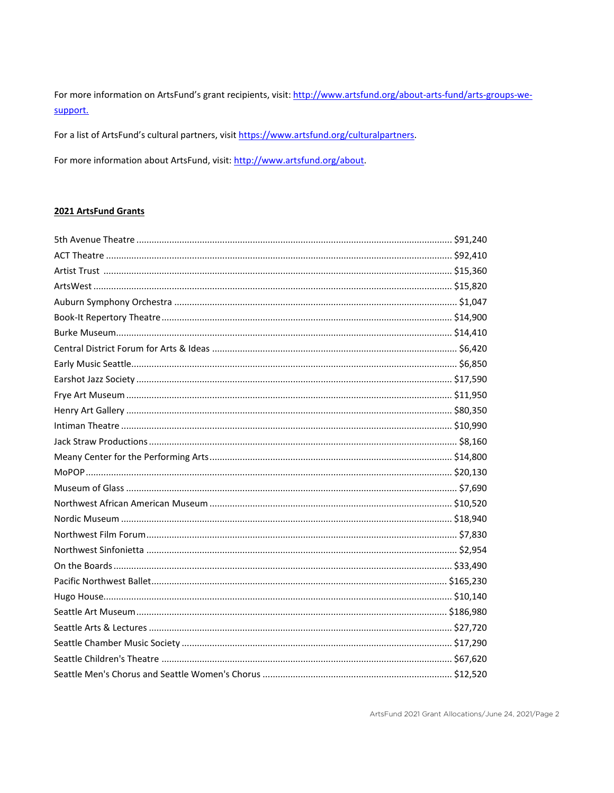For more information on ArtsFund's grant recipients, visit: http://www.artsfund.org/about-arts-fund/arts-groups-wesupport.

For a list of ArtsFund's cultural partners, visit https://www.artsfund.org/culturalpartners.

For more information about ArtsFund, visit: http://www.artsfund.org/about.

### 2021 ArtsFund Grants

ArtsFund 2021 Grant Allocations/June 24, 2021/Page 2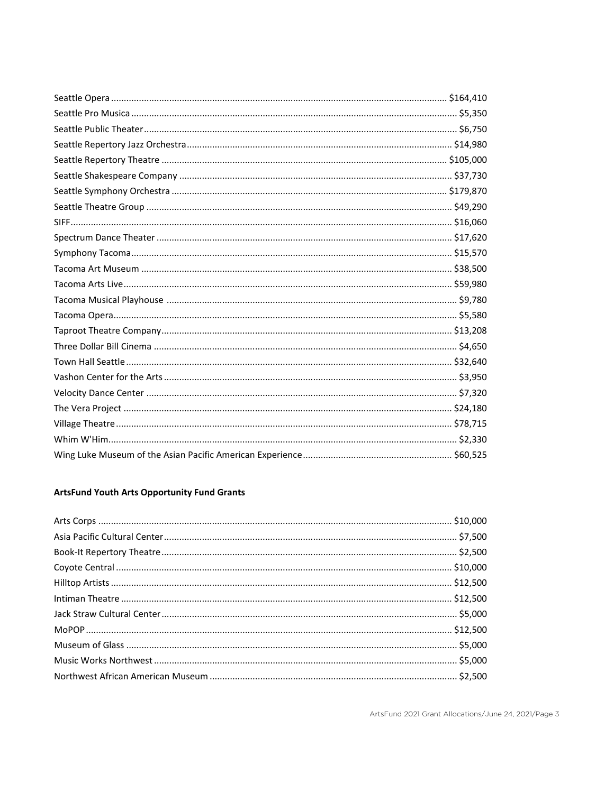# **ArtsFund Youth Arts Opportunity Fund Grants**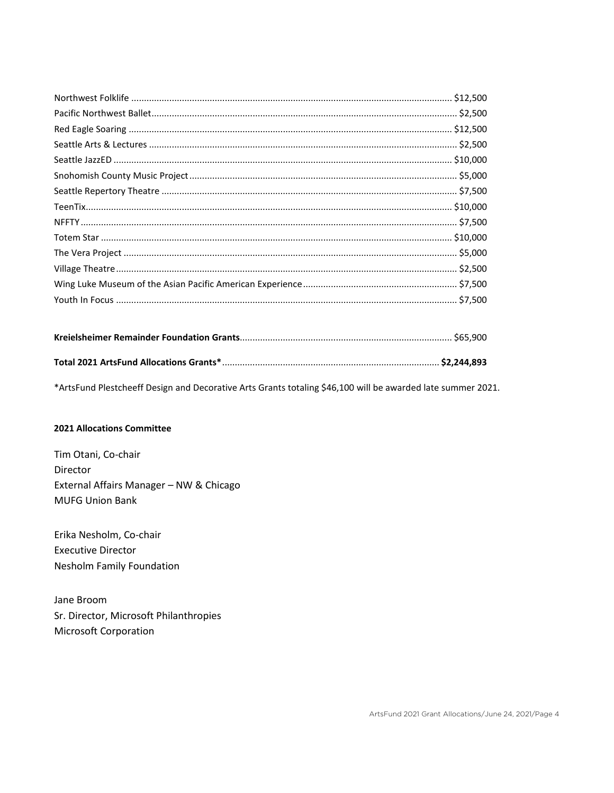\*ArtsFund Plestcheeff Design and Decorative Arts Grants totaling \$46,100 will be awarded late summer 2021.

## **2021 Allocations Committee**

Tim Otani, Co-chair Director External Affairs Manager - NW & Chicago **MUFG Union Bank** 

Erika Nesholm, Co-chair **Executive Director** Nesholm Family Foundation

Jane Broom Sr. Director, Microsoft Philanthropies Microsoft Corporation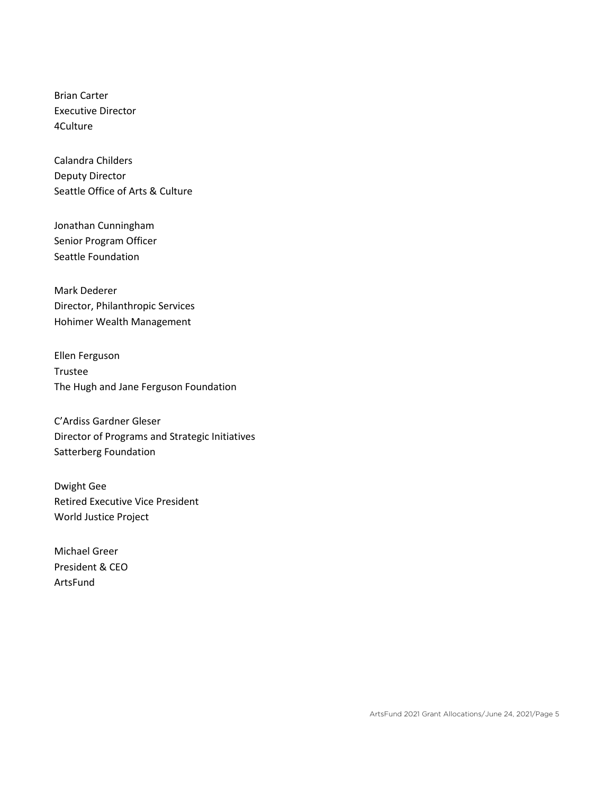Brian Carter Executive Director 4Culture

Calandra Childers Deputy Director Seattle Office of Arts & Culture

Jonathan Cunningham Senior Program Officer Seattle Foundation

Mark Dederer Director, Philanthropic Services Hohimer Wealth Management

Ellen Ferguson Trustee The Hugh and Jane Ferguson Foundation

C'Ardiss Gardner Gleser Director of Programs and Strategic Initiatives Satterberg Foundation

Dwight Gee Retired Executive Vice President World Justice Project

Michael Greer President & CEO ArtsFund

ArtsFund 2021 Grant Allocations/June 24, 2021/Page 5